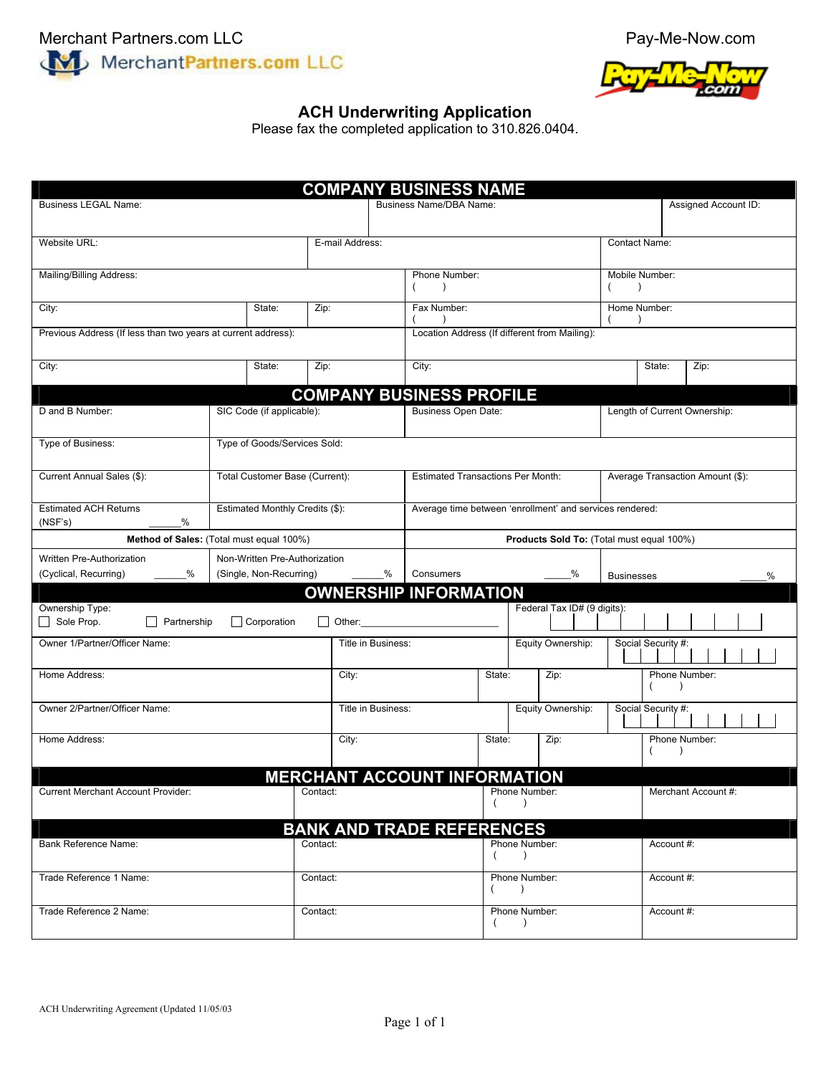



## **ACH Underwriting Application**

Please fax the completed application to 310.826.0404.

| <b>COMPANY BUSINESS NAME</b>                                  |                                          |                              |                    |                                                          |                            |                                               |                                  |                                  |  |  |
|---------------------------------------------------------------|------------------------------------------|------------------------------|--------------------|----------------------------------------------------------|----------------------------|-----------------------------------------------|----------------------------------|----------------------------------|--|--|
| <b>Business LEGAL Name:</b>                                   |                                          |                              |                    | Business Name/DBA Name:                                  | Assigned Account ID:       |                                               |                                  |                                  |  |  |
|                                                               |                                          |                              |                    |                                                          |                            |                                               |                                  |                                  |  |  |
| Website URL:<br>E-mail Address:                               |                                          |                              |                    |                                                          |                            |                                               | Contact Name:                    |                                  |  |  |
| Mailing/Billing Address:                                      |                                          |                              |                    | Phone Number:<br>$\lambda$                               |                            |                                               |                                  | Mobile Number:<br>(<br>$\lambda$ |  |  |
| State:<br>City:<br>Zip:                                       |                                          |                              | Fax Number:        |                                                          |                            | Home Number:                                  |                                  |                                  |  |  |
| Previous Address (If less than two years at current address): |                                          |                              |                    |                                                          |                            | Location Address (If different from Mailing): |                                  |                                  |  |  |
| City:                                                         | State:                                   | Zip:                         |                    | City:                                                    |                            |                                               |                                  | State:<br>Zip:                   |  |  |
|                                                               |                                          |                              |                    | <b>COMPANY BUSINESS PROFILE</b>                          |                            |                                               |                                  |                                  |  |  |
| D and B Number:                                               | SIC Code (if applicable):                |                              |                    | Business Open Date:                                      |                            |                                               |                                  | Length of Current Ownership:     |  |  |
| Type of Business:                                             | Type of Goods/Services Sold:             |                              |                    |                                                          |                            |                                               |                                  |                                  |  |  |
| Current Annual Sales (\$):                                    | Total Customer Base (Current):           |                              |                    | <b>Estimated Transactions Per Month:</b>                 |                            |                                               | Average Transaction Amount (\$): |                                  |  |  |
| <b>Estimated ACH Returns</b><br>%<br>(NSF's)                  | Estimated Monthly Credits (\$):          |                              |                    | Average time between 'enrollment' and services rendered: |                            |                                               |                                  |                                  |  |  |
|                                                               | Method of Sales: (Total must equal 100%) |                              |                    |                                                          |                            | Products Sold To: (Total must equal 100%)     |                                  |                                  |  |  |
| Written Pre-Authorization                                     | Non-Written Pre-Authorization            |                              |                    |                                                          |                            |                                               |                                  |                                  |  |  |
| (Cyclical, Recurring)<br>%                                    |                                          | (Single, Non-Recurring)<br>% |                    |                                                          | Consumers<br>%             |                                               |                                  | <b>Businesses</b><br>$\%$        |  |  |
| Ownership Type:<br>$\Box$ Sole Prop.<br>Partnership           | Corporation                              |                              |                    | <b>OWNERSHIP INFORMATION</b><br>$\Box$ Other:            |                            | Federal Tax ID# (9 digits):                   |                                  |                                  |  |  |
| Owner 1/Partner/Officer Name:                                 |                                          |                              | Title in Business: |                                                          |                            | Equity Ownership:                             |                                  | Social Security #:               |  |  |
| Home Address:                                                 |                                          | City:                        |                    |                                                          | State:                     | Zip:                                          |                                  | Phone Number:<br>$\lambda$       |  |  |
| Owner 2/Partner/Officer Name:                                 |                                          |                              | Title in Business: |                                                          | Equity Ownership:          |                                               |                                  | Social Security #:               |  |  |
| Home Address:                                                 |                                          |                              | City:              |                                                          | State:                     | Zip:                                          |                                  | Phone Number:<br>$\lambda$       |  |  |
|                                                               |                                          |                              |                    | <b>MERCHANT ACCOUNT INFORMATION</b>                      |                            |                                               |                                  |                                  |  |  |
| <b>Current Merchant Account Provider:</b>                     |                                          | Contact:                     |                    |                                                          | Phone Number:<br>$\lambda$ |                                               |                                  | Merchant Account #:              |  |  |
|                                                               |                                          |                              |                    | <b>BANK AND TRADE REFERENCES</b>                         |                            |                                               |                                  |                                  |  |  |
| <b>Bank Reference Name:</b>                                   |                                          | Contact:                     |                    |                                                          | Phone Number:<br>$\lambda$ |                                               |                                  | Account #:                       |  |  |
| Trade Reference 1 Name:<br>Contact:                           |                                          |                              |                    |                                                          | Phone Number:<br>$\lambda$ |                                               |                                  | Account #:                       |  |  |
| Trade Reference 2 Name:                                       |                                          | Contact:                     |                    |                                                          | Phone Number:<br>$\lambda$ |                                               |                                  | Account #:                       |  |  |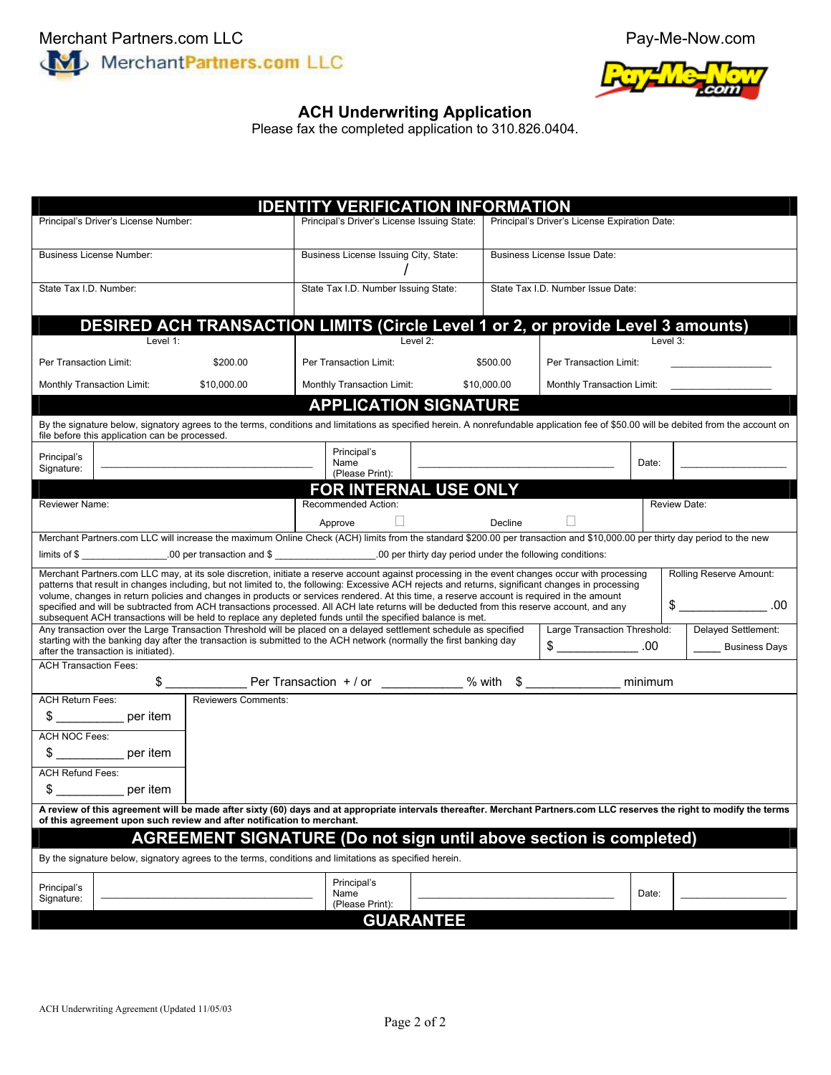



## **ACH Underwriting Application**

Please fax the completed application to 310.826.0404.

|                                                                                                                                                                                                                                                                                                                                                                                                                                                                                                                                                                                                                                                                                                                                                   |                                                                                                                                                                                                                                          | <b>IDENTITY VERIFICATION INFORMATION</b>    |                              |                                               |                            |                                             |          |  |
|---------------------------------------------------------------------------------------------------------------------------------------------------------------------------------------------------------------------------------------------------------------------------------------------------------------------------------------------------------------------------------------------------------------------------------------------------------------------------------------------------------------------------------------------------------------------------------------------------------------------------------------------------------------------------------------------------------------------------------------------------|------------------------------------------------------------------------------------------------------------------------------------------------------------------------------------------------------------------------------------------|---------------------------------------------|------------------------------|-----------------------------------------------|----------------------------|---------------------------------------------|----------|--|
| Principal's Driver's License Number:                                                                                                                                                                                                                                                                                                                                                                                                                                                                                                                                                                                                                                                                                                              |                                                                                                                                                                                                                                          | Principal's Driver's License Issuing State: |                              | Principal's Driver's License Expiration Date: |                            |                                             |          |  |
| <b>Business License Number:</b>                                                                                                                                                                                                                                                                                                                                                                                                                                                                                                                                                                                                                                                                                                                   |                                                                                                                                                                                                                                          | Business License Issuing City, State:       |                              | Business License Issue Date:                  |                            |                                             |          |  |
| State Tax I.D. Number:                                                                                                                                                                                                                                                                                                                                                                                                                                                                                                                                                                                                                                                                                                                            |                                                                                                                                                                                                                                          | State Tax I.D. Number Issuing State:        |                              | State Tax I.D. Number Issue Date:             |                            |                                             |          |  |
|                                                                                                                                                                                                                                                                                                                                                                                                                                                                                                                                                                                                                                                                                                                                                   | DESIRED ACH TRANSACTION LIMITS (Circle Level 1 or 2, or provide Level 3 amounts)                                                                                                                                                         |                                             | Level 2:                     |                                               |                            |                                             |          |  |
| Level 1:<br>Per Transaction Limit:<br>\$200.00                                                                                                                                                                                                                                                                                                                                                                                                                                                                                                                                                                                                                                                                                                    |                                                                                                                                                                                                                                          | Per Transaction Limit:                      |                              | \$500.00                                      | Per Transaction Limit:     |                                             | Level 3: |  |
| Monthly Transaction Limit:<br>\$10,000.00                                                                                                                                                                                                                                                                                                                                                                                                                                                                                                                                                                                                                                                                                                         |                                                                                                                                                                                                                                          | \$10,000.00<br>Monthly Transaction Limit:   |                              |                                               | Monthly Transaction Limit: |                                             |          |  |
|                                                                                                                                                                                                                                                                                                                                                                                                                                                                                                                                                                                                                                                                                                                                                   |                                                                                                                                                                                                                                          |                                             | <b>APPLICATION SIGNATURE</b> |                                               |                            |                                             |          |  |
| By the signature below, signatory agrees to the terms, conditions and limitations as specified herein. A nonrefundable application fee of \$50.00 will be debited from the account on<br>file before this application can be processed.                                                                                                                                                                                                                                                                                                                                                                                                                                                                                                           |                                                                                                                                                                                                                                          |                                             |                              |                                               |                            |                                             |          |  |
| Principal's<br>Signature:                                                                                                                                                                                                                                                                                                                                                                                                                                                                                                                                                                                                                                                                                                                         |                                                                                                                                                                                                                                          | Principal's<br>Name<br>(Please Print):      |                              |                                               |                            | Date:                                       |          |  |
|                                                                                                                                                                                                                                                                                                                                                                                                                                                                                                                                                                                                                                                                                                                                                   |                                                                                                                                                                                                                                          |                                             | FOR INTERNAL USE ONLY        |                                               |                            |                                             |          |  |
| Reviewer Name:                                                                                                                                                                                                                                                                                                                                                                                                                                                                                                                                                                                                                                                                                                                                    | Recommended Action:                                                                                                                                                                                                                      |                                             |                              | Review Date:                                  |                            |                                             |          |  |
| $\Box$<br>Decline<br>Approve                                                                                                                                                                                                                                                                                                                                                                                                                                                                                                                                                                                                                                                                                                                      |                                                                                                                                                                                                                                          |                                             |                              |                                               |                            |                                             |          |  |
| Merchant Partners.com LLC will increase the maximum Online Check (ACH) limits from the standard \$200.00 per transaction and \$10,000.00 per thirty day period to the new<br>limits of \$                                                                                                                                                                                                                                                                                                                                                                                                                                                                                                                                                         |                                                                                                                                                                                                                                          |                                             |                              |                                               |                            |                                             |          |  |
| Merchant Partners.com LLC may, at its sole discretion, initiate a reserve account against processing in the event changes occur with processing<br>Rolling Reserve Amount:<br>patterns that result in changes including, but not limited to, the following: Excessive ACH rejects and returns, significant changes in processing<br>volume, changes in return policies and changes in products or services rendered. At this time, a reserve account is required in the amount<br>.00<br>specified and will be subtracted from ACH transactions processed. All ACH late returns will be deducted from this reserve account, and any<br>subsequent ACH transactions will be held to replace any depleted funds until the specified balance is met. |                                                                                                                                                                                                                                          |                                             |                              |                                               |                            |                                             |          |  |
|                                                                                                                                                                                                                                                                                                                                                                                                                                                                                                                                                                                                                                                                                                                                                   | Any transaction over the Large Transaction Threshold will be placed on a delayed settlement schedule as specified<br>starting with the banking day after the transaction is submitted to the ACH network (normally the first banking day |                                             |                              | Large Transaction Threshold:<br>$\frac{1}{2}$ | .00.                       | Delayed Settlement:<br><b>Business Days</b> |          |  |
| after the transaction is initiated).<br><b>ACH Transaction Fees:</b>                                                                                                                                                                                                                                                                                                                                                                                                                                                                                                                                                                                                                                                                              |                                                                                                                                                                                                                                          |                                             |                              |                                               |                            |                                             |          |  |
| minimum                                                                                                                                                                                                                                                                                                                                                                                                                                                                                                                                                                                                                                                                                                                                           |                                                                                                                                                                                                                                          |                                             |                              |                                               |                            |                                             |          |  |
| <b>ACH Return Fees:</b>                                                                                                                                                                                                                                                                                                                                                                                                                                                                                                                                                                                                                                                                                                                           | <b>Reviewers Comments:</b>                                                                                                                                                                                                               |                                             |                              |                                               |                            |                                             |          |  |
| \$ per item                                                                                                                                                                                                                                                                                                                                                                                                                                                                                                                                                                                                                                                                                                                                       |                                                                                                                                                                                                                                          |                                             |                              |                                               |                            |                                             |          |  |
| ACH NOC Fees:<br>per item                                                                                                                                                                                                                                                                                                                                                                                                                                                                                                                                                                                                                                                                                                                         |                                                                                                                                                                                                                                          |                                             |                              |                                               |                            |                                             |          |  |
| <b>ACH Refund Fees:</b>                                                                                                                                                                                                                                                                                                                                                                                                                                                                                                                                                                                                                                                                                                                           |                                                                                                                                                                                                                                          |                                             |                              |                                               |                            |                                             |          |  |
| per item                                                                                                                                                                                                                                                                                                                                                                                                                                                                                                                                                                                                                                                                                                                                          |                                                                                                                                                                                                                                          |                                             |                              |                                               |                            |                                             |          |  |
| A review of this agreement will be made after sixty (60) days and at appropriate intervals thereafter. Merchant Partners.com LLC reserves the right to modify the terms<br>of this agreement upon such review and after notification to merchant.                                                                                                                                                                                                                                                                                                                                                                                                                                                                                                 |                                                                                                                                                                                                                                          |                                             |                              |                                               |                            |                                             |          |  |
| <b>AGREEMENT SIGNATURE (Do not sign until above section is completed)</b>                                                                                                                                                                                                                                                                                                                                                                                                                                                                                                                                                                                                                                                                         |                                                                                                                                                                                                                                          |                                             |                              |                                               |                            |                                             |          |  |
| By the signature below, signatory agrees to the terms, conditions and limitations as specified herein.                                                                                                                                                                                                                                                                                                                                                                                                                                                                                                                                                                                                                                            |                                                                                                                                                                                                                                          |                                             |                              |                                               |                            |                                             |          |  |
| Principal's                                                                                                                                                                                                                                                                                                                                                                                                                                                                                                                                                                                                                                                                                                                                       |                                                                                                                                                                                                                                          | Principal's                                 |                              |                                               |                            |                                             |          |  |
| Signature:                                                                                                                                                                                                                                                                                                                                                                                                                                                                                                                                                                                                                                                                                                                                        |                                                                                                                                                                                                                                          | Name<br>(Please Print):                     |                              |                                               |                            | Date:                                       |          |  |
| <b>GUARANTEE</b>                                                                                                                                                                                                                                                                                                                                                                                                                                                                                                                                                                                                                                                                                                                                  |                                                                                                                                                                                                                                          |                                             |                              |                                               |                            |                                             |          |  |